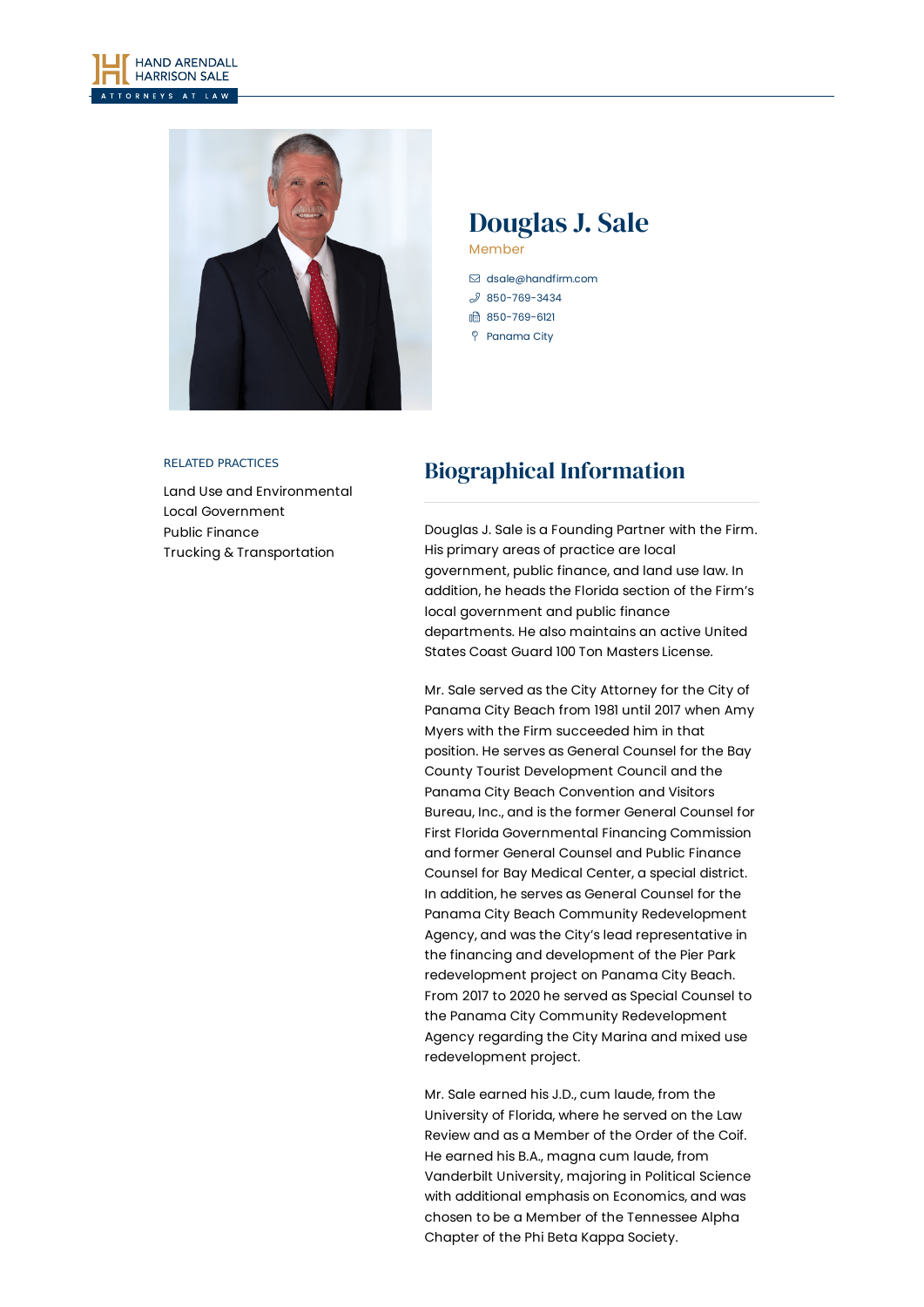



# Douglas J. Sale Member

[dsale@handfirm.com](mailto:dsale@handfirm.com)

- $$850 769 3434$
- 850-769-6121
- Panama City

#### RELATED PRACTICES

Land Use and [Environmental](https://www.handfirm.com/practices/business-services/land-use-and-environmental/) Local [Government](https://www.handfirm.com/practices/business-services/local-government/) Public [Finance](https://www.handfirm.com/practices/business-services/public-finance/) Trucking & [Transportation](https://www.handfirm.com/practices/industries/trucking-transportation/)

# Biographical Information

Douglas J. Sale is a Founding Partner with the Firm. His primary areas of practice are local government, public finance, and land use law. In addition, he heads the Florida section of the Firm's local government and public finance departments. He also maintains an active United States Coast Guard 100 Ton Masters License.

Mr. Sale served as the City Attorney for the City of Panama City Beach from 1981 until 2017 when Amy Myers with the Firm succeeded him in that position. He serves as General Counsel for the Bay County Tourist Development Council and the Panama City Beach Convention and Visitors Bureau, Inc., and is the former General Counsel for First Florida Governmental Financing Commission and former General Counsel and Public Finance Counsel for Bay Medical Center, a special district. In addition, he serves as General Counsel for the Panama City Beach Community Redevelopment Agency, and was the City's lead representative in the financing and development of the Pier Park redevelopment project on Panama City Beach. From 2017 to 2020 he served as Special Counsel to the Panama City Community Redevelopment Agency regarding the City Marina and mixed use redevelopment project.

Mr. Sale earned his J.D., cum laude, from the University of Florida, where he served on the Law Review and as a Member of the Order of the Coif. He earned his B.A., magna cum laude, from Vanderbilt University, majoring in Political Science with additional emphasis on Economics, and was chosen to be a Member of the Tennessee Alpha Chapter of the Phi Beta Kappa Society.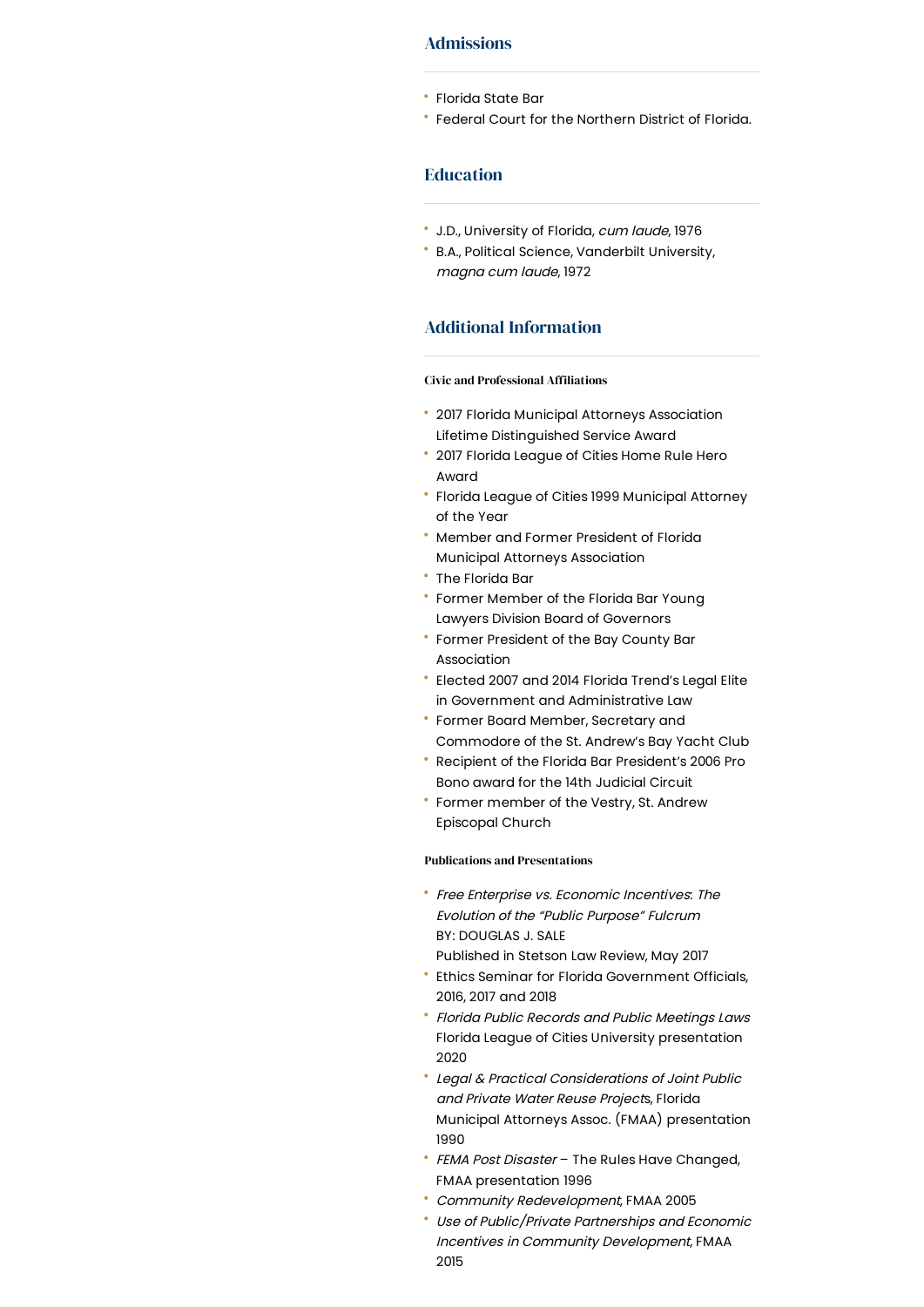### Admissions

- Florida State Bar
- Federal Court for the Northern District of Florida.

## Education

- J.D., University of Florida, cum laude, 1976
- B.A., Political Science, Vanderbilt University, magna cum laude, 1972

### Additional Information

### Civic and Professional Affiliations

- 2017 Florida Municipal Attorneys Association Lifetime Distinguished Service Award
- 2017 Florida League of Cities Home Rule Hero Award
- Florida League of Cities 1999 Municipal Attorney of the Year
- Member and Former President of Florida Municipal Attorneys Association
- The Florida Bar
- Former Member of the Florida Bar Young Lawyers Division Board of Governors
- Former President of the Bay County Bar Association
- Elected 2007 and 2014 Florida Trend's Legal Elite in Government and Administrative Law
- Former Board Member, Secretary and Commodore of the St. Andrew's Bay Yacht Club
- Recipient of the Florida Bar President's 2006 Pro Bono award for the 14th Judicial Circuit
- Former member of the Vestry, St. Andrew Episcopal Church

#### Publications and Presentations

- Free Enterprise vs. Economic Incentives: The Evolution of the "Public Purpose" Fulcrum BY: DOUGLAS J. SALE
- Published in Stetson Law Review, May 2017
- Ethics Seminar for Florida Government Officials, 2016, 2017 and 2018
- Florida Public Records and Public Meetings Laws Florida League of Cities University presentation 2020
- Legal & Practical Considerations of Joint Public and Private Water Reuse Projects, Florida Municipal Attorneys Assoc. (FMAA) presentation 1990
- FEMA Post Disaster The Rules Have Changed, FMAA presentation 1996
- Community Redevelopment, FMAA 2005
- Use of Public/Private Partnerships and Economic Incentives in Community Development, FMAA 2015